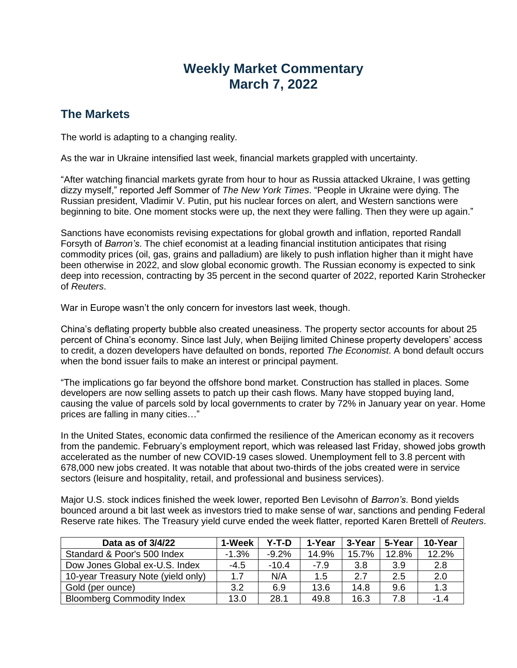# **Weekly Market Commentary March 7, 2022**

## **The Markets**

The world is adapting to a changing reality.

As the war in Ukraine intensified last week, financial markets grappled with uncertainty.

"After watching financial markets gyrate from hour to hour as Russia attacked Ukraine, I was getting dizzy myself," reported Jeff Sommer of *The New York Times*. "People in Ukraine were dying. The Russian president, Vladimir V. Putin, put his nuclear forces on alert, and Western sanctions were beginning to bite. One moment stocks were up, the next they were falling. Then they were up again."

Sanctions have economists revising expectations for global growth and inflation, reported Randall Forsyth of *Barron's*. The chief economist at a leading financial institution anticipates that rising commodity prices (oil, gas, grains and palladium) are likely to push inflation higher than it might have been otherwise in 2022, and slow global economic growth. The Russian economy is expected to sink deep into recession, contracting by 35 percent in the second quarter of 2022, reported Karin Strohecker of *Reuters*.

War in Europe wasn't the only concern for investors last week, though.

China's deflating property bubble also created uneasiness. The property sector accounts for about 25 percent of China's economy. Since last July, when Beijing limited Chinese property developers' access to credit, a dozen developers have defaulted on bonds, reported *The Economist*. A bond default occurs when the bond issuer fails to make an interest or principal payment.

"The implications go far beyond the offshore bond market. Construction has stalled in places. Some developers are now selling assets to patch up their cash flows. Many have stopped buying land, causing the value of parcels sold by local governments to crater by 72% in January year on year. Home prices are falling in many cities…"

In the United States, economic data confirmed the resilience of the American economy as it recovers from the pandemic. February's employment report, which was released last Friday, showed jobs growth accelerated as the number of new COVID-19 cases slowed. Unemployment fell to 3.8 percent with 678,000 new jobs created. It was notable that about two-thirds of the jobs created were in service sectors (leisure and hospitality, retail, and professional and business services).

Major U.S. stock indices finished the week lower, reported Ben Levisohn of *Barron's*. Bond yields bounced around a bit last week as investors tried to make sense of war, sanctions and pending Federal Reserve rate hikes. The Treasury yield curve ended the week flatter, reported Karen Brettell of *Reuters*.

| Data as of 3/4/22                  | 1-Week  | Y-T-D   | 1-Year | 3-Year | 5-Year | 10-Year |
|------------------------------------|---------|---------|--------|--------|--------|---------|
| Standard & Poor's 500 Index        | $-1.3%$ | $-9.2%$ | 14.9%  | 15.7%  | 12.8%  | 12.2%   |
| Dow Jones Global ex-U.S. Index     | $-4.5$  | $-10.4$ | $-7.9$ | 3.8    | 3.9    | 2.8     |
| 10-year Treasury Note (yield only) | 1.7     | N/A     | 1.5    | 2.7    | 2.5    | 2.0     |
| Gold (per ounce)                   | 3.2     | 6.9     | 13.6   | 14.8   | 9.6    | 1.3     |
| <b>Bloomberg Commodity Index</b>   | 13.0    | 28.1    | 49.8   | 16.3   | 7.8    | $-1.4$  |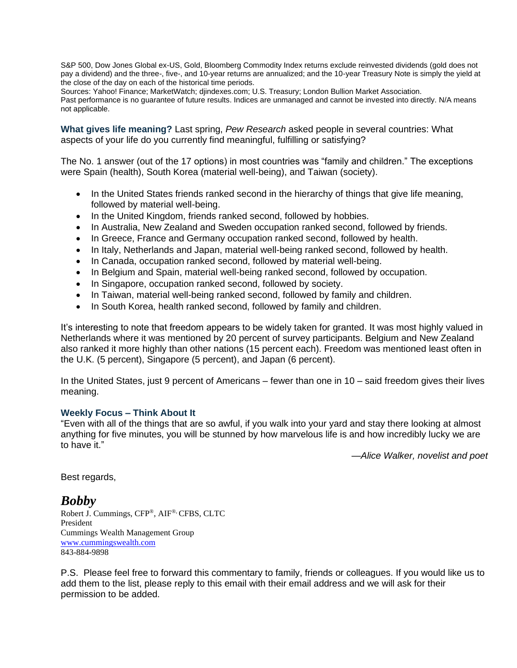S&P 500, Dow Jones Global ex-US, Gold, Bloomberg Commodity Index returns exclude reinvested dividends (gold does not pay a dividend) and the three-, five-, and 10-year returns are annualized; and the 10-year Treasury Note is simply the yield at the close of the day on each of the historical time periods.

Sources: Yahoo! Finance; MarketWatch; djindexes.com; U.S. Treasury; London Bullion Market Association.

Past performance is no guarantee of future results. Indices are unmanaged and cannot be invested into directly. N/A means not applicable.

**What gives life meaning?** Last spring, *Pew Research* asked people in several countries: What aspects of your life do you currently find meaningful, fulfilling or satisfying?

The No. 1 answer (out of the 17 options) in most countries was "family and children." The exceptions were Spain (health), South Korea (material well-being), and Taiwan (society).

- In the United States friends ranked second in the hierarchy of things that give life meaning, followed by material well-being.
- In the United Kingdom, friends ranked second, followed by hobbies.
- In Australia, New Zealand and Sweden occupation ranked second, followed by friends.
- In Greece, France and Germany occupation ranked second, followed by health.
- In Italy, Netherlands and Japan, material well-being ranked second, followed by health.
- In Canada, occupation ranked second, followed by material well-being.
- In Belgium and Spain, material well-being ranked second, followed by occupation.
- In Singapore, occupation ranked second, followed by society.
- In Taiwan, material well-being ranked second, followed by family and children.
- In South Korea, health ranked second, followed by family and children.

It's interesting to note that freedom appears to be widely taken for granted. It was most highly valued in Netherlands where it was mentioned by 20 percent of survey participants. Belgium and New Zealand also ranked it more highly than other nations (15 percent each). Freedom was mentioned least often in the U.K. (5 percent), Singapore (5 percent), and Japan (6 percent).

In the United States, just 9 percent of Americans – fewer than one in 10 – said freedom gives their lives meaning.

### **Weekly Focus – Think About It**

"Even with all of the things that are so awful, if you walk into your yard and stay there looking at almost anything for five minutes, you will be stunned by how marvelous life is and how incredibly lucky we are to have it."

*—Alice Walker, novelist and poet*

Best regards,

### *Bobby*

Robert J. Cummings, CFP®, AIF®, CFBS, CLTC President Cummings Wealth Management Group [www.cummingswealth.com](http://www.cummingswealth.com/) 843-884-9898

P.S. Please feel free to forward this commentary to family, friends or colleagues. If you would like us to add them to the list, please reply to this email with their email address and we will ask for their permission to be added.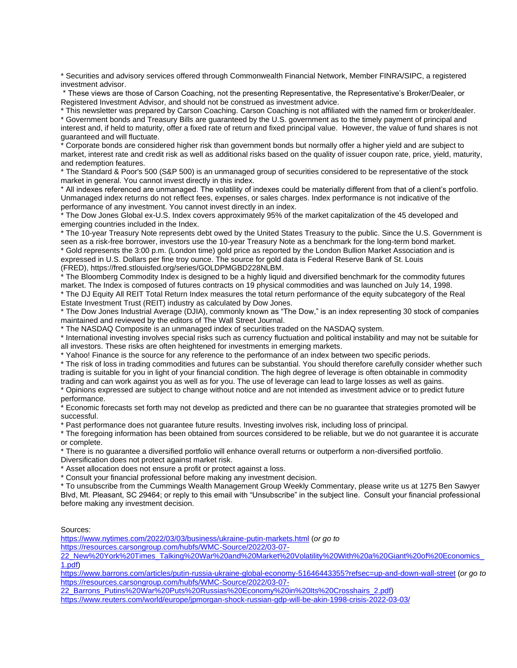\* Securities and advisory services offered through Commonwealth Financial Network, Member FINRA/SIPC, a registered investment advisor.

\* These views are those of Carson Coaching, not the presenting Representative, the Representative's Broker/Dealer, or Registered Investment Advisor, and should not be construed as investment advice.

\* This newsletter was prepared by Carson Coaching. Carson Coaching is not affiliated with the named firm or broker/dealer. \* Government bonds and Treasury Bills are guaranteed by the U.S. government as to the timely payment of principal and interest and, if held to maturity, offer a fixed rate of return and fixed principal value. However, the value of fund shares is not guaranteed and will fluctuate.

\* Corporate bonds are considered higher risk than government bonds but normally offer a higher yield and are subject to market, interest rate and credit risk as well as additional risks based on the quality of issuer coupon rate, price, yield, maturity, and redemption features.

\* The Standard & Poor's 500 (S&P 500) is an unmanaged group of securities considered to be representative of the stock market in general. You cannot invest directly in this index.

\* All indexes referenced are unmanaged. The volatility of indexes could be materially different from that of a client's portfolio. Unmanaged index returns do not reflect fees, expenses, or sales charges. Index performance is not indicative of the performance of any investment. You cannot invest directly in an index.

\* The Dow Jones Global ex-U.S. Index covers approximately 95% of the market capitalization of the 45 developed and emerging countries included in the Index.

\* The 10-year Treasury Note represents debt owed by the United States Treasury to the public. Since the U.S. Government is seen as a risk-free borrower, investors use the 10-year Treasury Note as a benchmark for the long-term bond market. \* Gold represents the 3:00 p.m. (London time) gold price as reported by the London Bullion Market Association and is expressed in U.S. Dollars per fine troy ounce. The source for gold data is Federal Reserve Bank of St. Louis (FRED), https://fred.stlouisfed.org/series/GOLDPMGBD228NLBM.

The Bloomberg Commodity Index is designed to be a highly liquid and diversified benchmark for the commodity futures market. The Index is composed of futures contracts on 19 physical commodities and was launched on July 14, 1998. \* The DJ Equity All REIT Total Return Index measures the total return performance of the equity subcategory of the Real Estate Investment Trust (REIT) industry as calculated by Dow Jones.

\* The Dow Jones Industrial Average (DJIA), commonly known as "The Dow," is an index representing 30 stock of companies maintained and reviewed by the editors of The Wall Street Journal.

\* The NASDAQ Composite is an unmanaged index of securities traded on the NASDAQ system.

\* International investing involves special risks such as currency fluctuation and political instability and may not be suitable for all investors. These risks are often heightened for investments in emerging markets.

\* Yahoo! Finance is the source for any reference to the performance of an index between two specific periods.

\* The risk of loss in trading commodities and futures can be substantial. You should therefore carefully consider whether such trading is suitable for you in light of your financial condition. The high degree of leverage is often obtainable in commodity trading and can work against you as well as for you. The use of leverage can lead to large losses as well as gains.

\* Opinions expressed are subject to change without notice and are not intended as investment advice or to predict future performance.

\* Economic forecasts set forth may not develop as predicted and there can be no guarantee that strategies promoted will be successful.

\* Past performance does not guarantee future results. Investing involves risk, including loss of principal.

\* The foregoing information has been obtained from sources considered to be reliable, but we do not guarantee it is accurate or complete.

\* There is no guarantee a diversified portfolio will enhance overall returns or outperform a non-diversified portfolio. Diversification does not protect against market risk.

\* Asset allocation does not ensure a profit or protect against a loss.

\* Consult your financial professional before making any investment decision.

\* To unsubscribe from the Cummings Wealth Management Group Weekly Commentary, please write us at 1275 Ben Sawyer Blvd, Mt. Pleasant, SC 29464; or reply to this email with "Unsubscribe" in the subject line. Consult your financial professional before making any investment decision.

#### Sources:

<https://www.nytimes.com/2022/03/03/business/ukraine-putin-markets.html> (*or go to* 

[https://resources.carsongroup.com/hubfs/WMC-Source/2022/03-07-](https://resources.carsongroup.com/hubfs/WMC-Source/2022/03-07-22_New%20York%20Times_Talking%20War%20and%20Market%20Volatility%20With%20a%20Giant%20of%20Economics_1.pdf)

[22\\_New%20York%20Times\\_Talking%20War%20and%20Market%20Volatility%20With%20a%20Giant%20of%20Economics\\_](https://resources.carsongroup.com/hubfs/WMC-Source/2022/03-07-22_New%20York%20Times_Talking%20War%20and%20Market%20Volatility%20With%20a%20Giant%20of%20Economics_1.pdf) [1.pdf\)](https://resources.carsongroup.com/hubfs/WMC-Source/2022/03-07-22_New%20York%20Times_Talking%20War%20and%20Market%20Volatility%20With%20a%20Giant%20of%20Economics_1.pdf)

<https://www.barrons.com/articles/putin-russia-ukraine-global-economy-51646443355?refsec=up-and-down-wall-street> (*or go to* [https://resources.carsongroup.com/hubfs/WMC-Source/2022/03-07-](https://resources.carsongroup.com/hubfs/WMC-Source/2022/03-07-22_Barrons_Putins%20War%20Puts%20Russias%20Economy%20in%20Its%20Crosshairs_2.pdf)

[22\\_Barrons\\_Putins%20War%20Puts%20Russias%20Economy%20in%20Its%20Crosshairs\\_2.pdf\)](https://resources.carsongroup.com/hubfs/WMC-Source/2022/03-07-22_Barrons_Putins%20War%20Puts%20Russias%20Economy%20in%20Its%20Crosshairs_2.pdf)

<https://www.reuters.com/world/europe/jpmorgan-shock-russian-gdp-will-be-akin-1998-crisis-2022-03-03/>